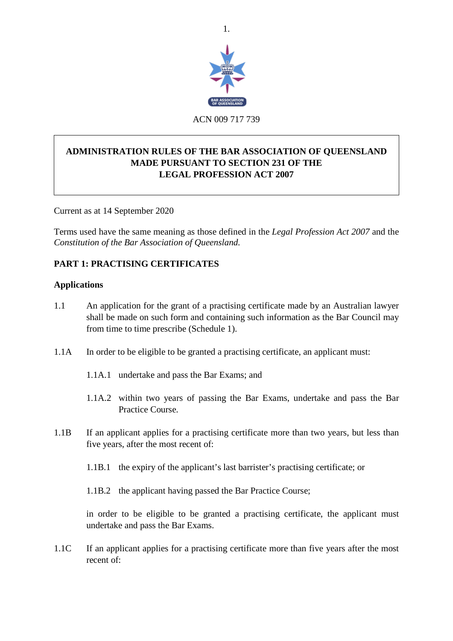

# **ADMINISTRATION RULES OF THE BAR ASSOCIATION OF QUEENSLAND MADE PURSUANT TO SECTION 231 OF THE LEGAL PROFESSION ACT 2007**

Current as at 14 September 2020

Terms used have the same meaning as those defined in the *Legal Profession Act 2007* and the *Constitution of the Bar Association of Queensland.*

# **PART 1: PRACTISING CERTIFICATES**

### **Applications**

- 1.1 An application for the grant of a practising certificate made by an Australian lawyer shall be made on such form and containing such information as the Bar Council may from time to time prescribe (Schedule 1).
- 1.1A In order to be eligible to be granted a practising certificate, an applicant must:
	- 1.1A.1 undertake and pass the Bar Exams; and
	- 1.1A.2 within two years of passing the Bar Exams, undertake and pass the Bar Practice Course.
- 1.1B If an applicant applies for a practising certificate more than two years, but less than five years, after the most recent of:
	- 1.1B.1 the expiry of the applicant's last barrister's practising certificate; or
	- 1.1B.2 the applicant having passed the Bar Practice Course;

in order to be eligible to be granted a practising certificate, the applicant must undertake and pass the Bar Exams.

1.1C If an applicant applies for a practising certificate more than five years after the most recent of: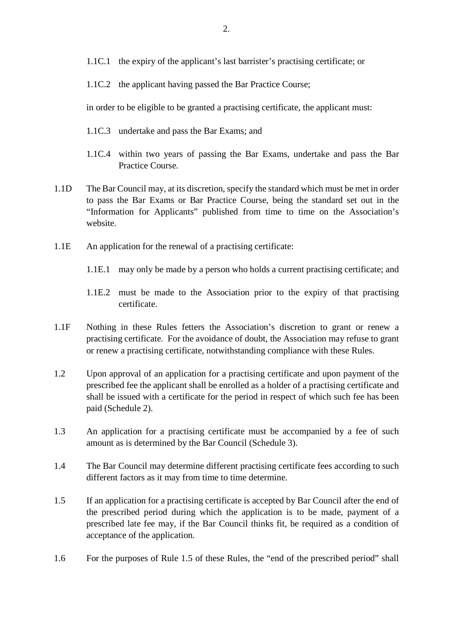- 1.1C.1 the expiry of the applicant's last barrister's practising certificate; or
- 1.1C.2 the applicant having passed the Bar Practice Course;

in order to be eligible to be granted a practising certificate, the applicant must:

- 1.1C.3 undertake and pass the Bar Exams; and
- 1.1C.4 within two years of passing the Bar Exams, undertake and pass the Bar Practice Course.
- 1.1D The Bar Council may, at its discretion, specify the standard which must be met in order to pass the Bar Exams or Bar Practice Course, being the standard set out in the "Information for Applicants" published from time to time on the Association's website.
- 1.1E An application for the renewal of a practising certificate:
	- 1.1E.1 may only be made by a person who holds a current practising certificate; and
	- 1.1E.2 must be made to the Association prior to the expiry of that practising certificate.
- 1.1F Nothing in these Rules fetters the Association's discretion to grant or renew a practising certificate. For the avoidance of doubt, the Association may refuse to grant or renew a practising certificate, notwithstanding compliance with these Rules.
- 1.2 Upon approval of an application for a practising certificate and upon payment of the prescribed fee the applicant shall be enrolled as a holder of a practising certificate and shall be issued with a certificate for the period in respect of which such fee has been paid (Schedule 2).
- 1.3 An application for a practising certificate must be accompanied by a fee of such amount as is determined by the Bar Council (Schedule 3).
- 1.4 The Bar Council may determine different practising certificate fees according to such different factors as it may from time to time determine.
- 1.5 If an application for a practising certificate is accepted by Bar Council after the end of the prescribed period during which the application is to be made, payment of a prescribed late fee may, if the Bar Council thinks fit, be required as a condition of acceptance of the application.
- 1.6 For the purposes of Rule 1.5 of these Rules, the "end of the prescribed period" shall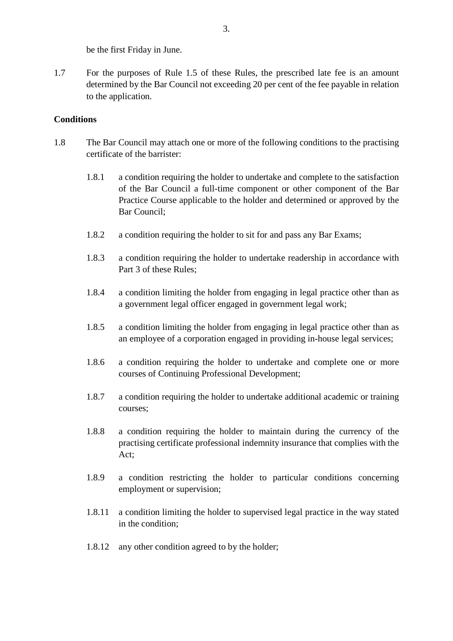be the first Friday in June.

1.7 For the purposes of Rule 1.5 of these Rules, the prescribed late fee is an amount determined by the Bar Council not exceeding 20 per cent of the fee payable in relation to the application.

## **Conditions**

- 1.8 The Bar Council may attach one or more of the following conditions to the practising certificate of the barrister:
	- 1.8.1 a condition requiring the holder to undertake and complete to the satisfaction of the Bar Council a full-time component or other component of the Bar Practice Course applicable to the holder and determined or approved by the Bar Council;
	- 1.8.2 a condition requiring the holder to sit for and pass any Bar Exams;
	- 1.8.3 a condition requiring the holder to undertake readership in accordance with Part 3 of these Rules;
	- 1.8.4 a condition limiting the holder from engaging in legal practice other than as a government legal officer engaged in government legal work;
	- 1.8.5 a condition limiting the holder from engaging in legal practice other than as an employee of a corporation engaged in providing in-house legal services;
	- 1.8.6 a condition requiring the holder to undertake and complete one or more courses of Continuing Professional Development;
	- 1.8.7 a condition requiring the holder to undertake additional academic or training courses;
	- 1.8.8 a condition requiring the holder to maintain during the currency of the practising certificate professional indemnity insurance that complies with the Act;
	- 1.8.9 a condition restricting the holder to particular conditions concerning employment or supervision;
	- 1.8.11 a condition limiting the holder to supervised legal practice in the way stated in the condition;
	- 1.8.12 any other condition agreed to by the holder;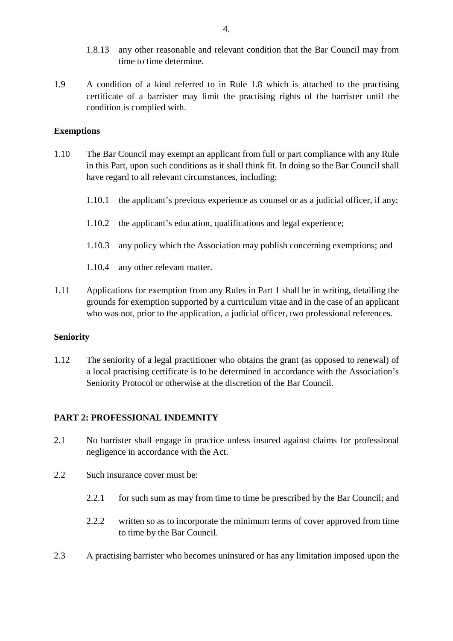- 1.8.13 any other reasonable and relevant condition that the Bar Council may from time to time determine.
- 1.9 A condition of a kind referred to in Rule 1.8 which is attached to the practising certificate of a barrister may limit the practising rights of the barrister until the condition is complied with.

### **Exemptions**

- 1.10 The Bar Council may exempt an applicant from full or part compliance with any Rule in this Part, upon such conditions as it shall think fit. In doing so the Bar Council shall have regard to all relevant circumstances, including:
	- 1.10.1 the applicant's previous experience as counsel or as a judicial officer, if any;
	- 1.10.2 the applicant's education, qualifications and legal experience;
	- 1.10.3 any policy which the Association may publish concerning exemptions; and
	- 1.10.4 any other relevant matter.
- 1.11 Applications for exemption from any Rules in Part 1 shall be in writing, detailing the grounds for exemption supported by a curriculum vitae and in the case of an applicant who was not, prior to the application, a judicial officer, two professional references.

### **Seniority**

1.12 The seniority of a legal practitioner who obtains the grant (as opposed to renewal) of a local practising certificate is to be determined in accordance with the Association's Seniority Protocol or otherwise at the discretion of the Bar Council.

### **PART 2: PROFESSIONAL INDEMNITY**

- 2.1 No barrister shall engage in practice unless insured against claims for professional negligence in accordance with the Act.
- 2.2 Such insurance cover must be:
	- 2.2.1 for such sum as may from time to time be prescribed by the Bar Council; and
	- 2.2.2 written so as to incorporate the minimum terms of cover approved from time to time by the Bar Council.
- 2.3 A practising barrister who becomes uninsured or has any limitation imposed upon the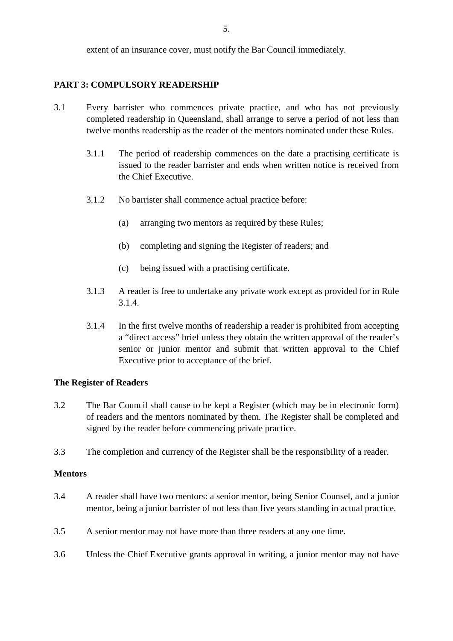extent of an insurance cover, must notify the Bar Council immediately.

## **PART 3: COMPULSORY READERSHIP**

- 3.1 Every barrister who commences private practice, and who has not previously completed readership in Queensland, shall arrange to serve a period of not less than twelve months readership as the reader of the mentors nominated under these Rules.
	- 3.1.1 The period of readership commences on the date a practising certificate is issued to the reader barrister and ends when written notice is received from the Chief Executive.
	- 3.1.2 No barrister shall commence actual practice before:
		- (a) arranging two mentors as required by these Rules;
		- (b) completing and signing the Register of readers; and
		- (c) being issued with a practising certificate.
	- 3.1.3 A reader is free to undertake any private work except as provided for in Rule 3.1.4.
	- 3.1.4 In the first twelve months of readership a reader is prohibited from accepting a "direct access" brief unless they obtain the written approval of the reader's senior or junior mentor and submit that written approval to the Chief Executive prior to acceptance of the brief.

### **The Register of Readers**

- 3.2 The Bar Council shall cause to be kept a Register (which may be in electronic form) of readers and the mentors nominated by them. The Register shall be completed and signed by the reader before commencing private practice.
- 3.3 The completion and currency of the Register shall be the responsibility of a reader.

### **Mentors**

- 3.4 A reader shall have two mentors: a senior mentor, being Senior Counsel, and a junior mentor, being a junior barrister of not less than five years standing in actual practice.
- 3.5 A senior mentor may not have more than three readers at any one time.
- 3.6 Unless the Chief Executive grants approval in writing, a junior mentor may not have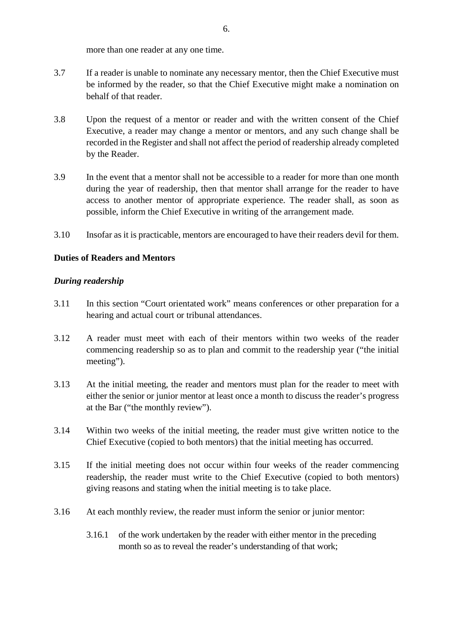more than one reader at any one time.

- 3.7 If a reader is unable to nominate any necessary mentor, then the Chief Executive must be informed by the reader, so that the Chief Executive might make a nomination on behalf of that reader.
- 3.8 Upon the request of a mentor or reader and with the written consent of the Chief Executive, a reader may change a mentor or mentors, and any such change shall be recorded in the Register and shall not affect the period of readership already completed by the Reader.
- 3.9 In the event that a mentor shall not be accessible to a reader for more than one month during the year of readership, then that mentor shall arrange for the reader to have access to another mentor of appropriate experience. The reader shall, as soon as possible, inform the Chief Executive in writing of the arrangement made.
- 3.10 Insofar as it is practicable, mentors are encouraged to have their readers devil for them.

# **Duties of Readers and Mentors**

## *During readership*

- 3.11 In this section "Court orientated work" means conferences or other preparation for a hearing and actual court or tribunal attendances.
- 3.12 A reader must meet with each of their mentors within two weeks of the reader commencing readership so as to plan and commit to the readership year ("the initial meeting").
- 3.13 At the initial meeting, the reader and mentors must plan for the reader to meet with either the senior or junior mentor at least once a month to discuss the reader's progress at the Bar ("the monthly review").
- 3.14 Within two weeks of the initial meeting, the reader must give written notice to the Chief Executive (copied to both mentors) that the initial meeting has occurred.
- 3.15 If the initial meeting does not occur within four weeks of the reader commencing readership, the reader must write to the Chief Executive (copied to both mentors) giving reasons and stating when the initial meeting is to take place.
- 3.16 At each monthly review, the reader must inform the senior or junior mentor:
	- 3.16.1 of the work undertaken by the reader with either mentor in the preceding month so as to reveal the reader's understanding of that work;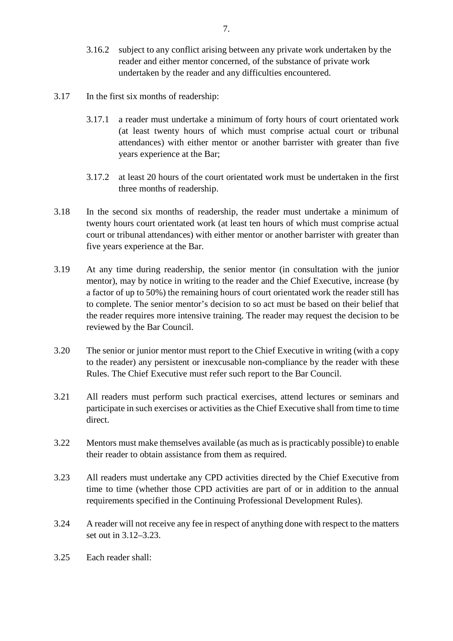- 3.16.2 subject to any conflict arising between any private work undertaken by the reader and either mentor concerned, of the substance of private work undertaken by the reader and any difficulties encountered.
- 3.17 In the first six months of readership:
	- 3.17.1 a reader must undertake a minimum of forty hours of court orientated work (at least twenty hours of which must comprise actual court or tribunal attendances) with either mentor or another barrister with greater than five years experience at the Bar;
	- 3.17.2 at least 20 hours of the court orientated work must be undertaken in the first three months of readership.
- 3.18 In the second six months of readership, the reader must undertake a minimum of twenty hours court orientated work (at least ten hours of which must comprise actual court or tribunal attendances) with either mentor or another barrister with greater than five years experience at the Bar.
- 3.19 At any time during readership, the senior mentor (in consultation with the junior mentor), may by notice in writing to the reader and the Chief Executive, increase (by a factor of up to 50%) the remaining hours of court orientated work the reader still has to complete. The senior mentor's decision to so act must be based on their belief that the reader requires more intensive training. The reader may request the decision to be reviewed by the Bar Council.
- 3.20 The senior or junior mentor must report to the Chief Executive in writing (with a copy to the reader) any persistent or inexcusable non-compliance by the reader with these Rules. The Chief Executive must refer such report to the Bar Council.
- 3.21 All readers must perform such practical exercises, attend lectures or seminars and participate in such exercises or activities as the Chief Executive shall from time to time direct.
- 3.22 Mentors must make themselves available (as much as is practicably possible) to enable their reader to obtain assistance from them as required.
- 3.23 All readers must undertake any CPD activities directed by the Chief Executive from time to time (whether those CPD activities are part of or in addition to the annual requirements specified in the Continuing Professional Development Rules).
- 3.24 A reader will not receive any fee in respect of anything done with respect to the matters set out in 3.12–3.23.
- 3.25 Each reader shall: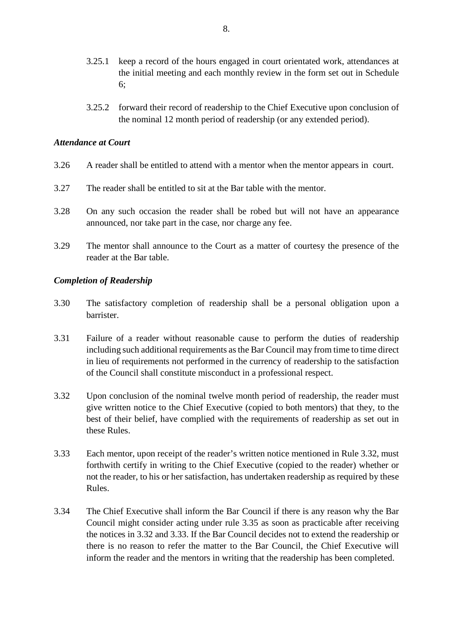- 3.25.1 keep a record of the hours engaged in court orientated work, attendances at the initial meeting and each monthly review in the form set out in Schedule 6;
- 3.25.2 forward their record of readership to the Chief Executive upon conclusion of the nominal 12 month period of readership (or any extended period).

### *Attendance at Court*

- 3.26 A reader shall be entitled to attend with a mentor when the mentor appears in court.
- 3.27 The reader shall be entitled to sit at the Bar table with the mentor.
- 3.28 On any such occasion the reader shall be robed but will not have an appearance announced, nor take part in the case, nor charge any fee.
- 3.29 The mentor shall announce to the Court as a matter of courtesy the presence of the reader at the Bar table.

### *Completion of Readership*

- 3.30 The satisfactory completion of readership shall be a personal obligation upon a barrister.
- 3.31 Failure of a reader without reasonable cause to perform the duties of readership including such additional requirements as the Bar Council may from time to time direct in lieu of requirements not performed in the currency of readership to the satisfaction of the Council shall constitute misconduct in a professional respect.
- 3.32 Upon conclusion of the nominal twelve month period of readership, the reader must give written notice to the Chief Executive (copied to both mentors) that they, to the best of their belief, have complied with the requirements of readership as set out in these Rules.
- 3.33 Each mentor, upon receipt of the reader's written notice mentioned in Rule 3.32, must forthwith certify in writing to the Chief Executive (copied to the reader) whether or not the reader, to his or her satisfaction, has undertaken readership as required by these Rules.
- 3.34 The Chief Executive shall inform the Bar Council if there is any reason why the Bar Council might consider acting under rule 3.35 as soon as practicable after receiving the notices in 3.32 and 3.33. If the Bar Council decides not to extend the readership or there is no reason to refer the matter to the Bar Council, the Chief Executive will inform the reader and the mentors in writing that the readership has been completed.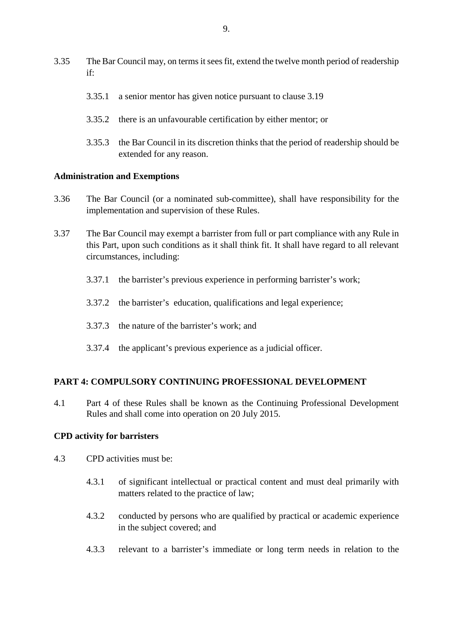- 3.35 The Bar Council may, on terms it sees fit, extend the twelve month period of readership if:
	- 3.35.1 a senior mentor has given notice pursuant to clause 3.19
	- 3.35.2 there is an unfavourable certification by either mentor; or
	- 3.35.3 the Bar Council in its discretion thinks that the period of readership should be extended for any reason.

#### **Administration and Exemptions**

- 3.36 The Bar Council (or a nominated sub-committee), shall have responsibility for the implementation and supervision of these Rules.
- 3.37 The Bar Council may exempt a barrister from full or part compliance with any Rule in this Part, upon such conditions as it shall think fit. It shall have regard to all relevant circumstances, including:
	- 3.37.1 the barrister's previous experience in performing barrister's work;
	- 3.37.2 the barrister's education, qualifications and legal experience;
	- 3.37.3 the nature of the barrister's work; and
	- 3.37.4 the applicant's previous experience as a judicial officer.

### **PART 4: COMPULSORY CONTINUING PROFESSIONAL DEVELOPMENT**

4.1 Part 4 of these Rules shall be known as the Continuing Professional Development Rules and shall come into operation on 20 July 2015.

#### **CPD activity for barristers**

- 4.3 CPD activities must be:
	- 4.3.1 of significant intellectual or practical content and must deal primarily with matters related to the practice of law;
	- 4.3.2 conducted by persons who are qualified by practical or academic experience in the subject covered; and
	- 4.3.3 relevant to a barrister's immediate or long term needs in relation to the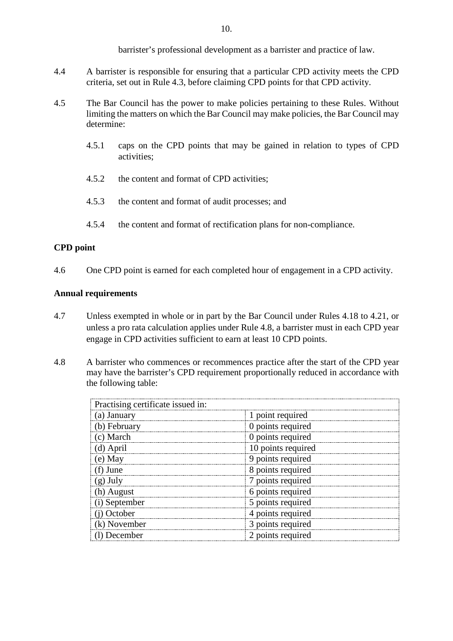barrister's professional development as a barrister and practice of law.

- 4.4 A barrister is responsible for ensuring that a particular CPD activity meets the CPD criteria, set out in Rule 4.3, before claiming CPD points for that CPD activity.
- 4.5 The Bar Council has the power to make policies pertaining to these Rules. Without limiting the matters on which the Bar Council may make policies, the Bar Council may determine:
	- 4.5.1 caps on the CPD points that may be gained in relation to types of CPD activities;
	- 4.5.2 the content and format of CPD activities;
	- 4.5.3 the content and format of audit processes; and
	- 4.5.4 the content and format of rectification plans for non-compliance.

# **CPD point**

4.6 One CPD point is earned for each completed hour of engagement in a CPD activity.

# **Annual requirements**

- 4.7 Unless exempted in whole or in part by the Bar Council under Rules 4.18 to 4.21, or unless a pro rata calculation applies under Rule 4.8, a barrister must in each CPD year engage in CPD activities sufficient to earn at least 10 CPD points.
- 4.8 A barrister who commences or recommences practice after the start of the CPD year may have the barrister's CPD requirement proportionally reduced in accordance with the following table:

| Practising certificate issued in: |                    |
|-----------------------------------|--------------------|
| (a) January                       | 1 point required   |
| (b) February                      | 0 points required  |
| (c) March                         | 0 points required  |
| (d) April                         | 10 points required |
| (e) May                           | 9 points required  |
| (f) June                          | 8 points required  |
| $(g)$ July                        | 7 points required  |
| (h) August                        | 6 points required  |
| (i) September                     | 5 points required  |
| (j) October                       | 4 points required  |
| (k) November                      | 3 points required  |
| (1) December                      | 2 points required  |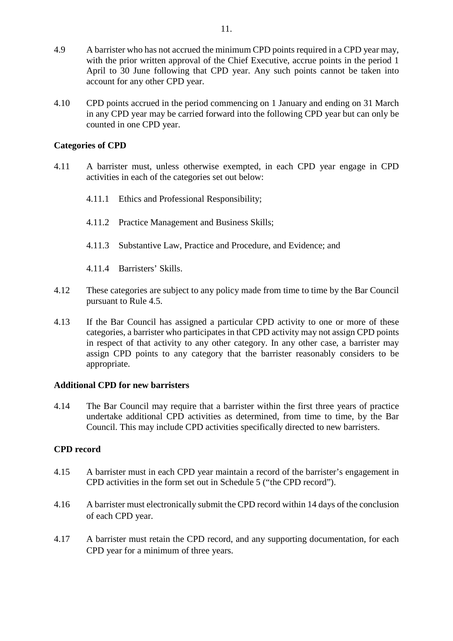- 4.9 A barrister who has not accrued the minimum CPD points required in a CPD year may, with the prior written approval of the Chief Executive, accrue points in the period 1 April to 30 June following that CPD year. Any such points cannot be taken into account for any other CPD year.
- 4.10 CPD points accrued in the period commencing on 1 January and ending on 31 March in any CPD year may be carried forward into the following CPD year but can only be counted in one CPD year.

## **Categories of CPD**

- 4.11 A barrister must, unless otherwise exempted, in each CPD year engage in CPD activities in each of the categories set out below:
	- 4.11.1 Ethics and Professional Responsibility;
	- 4.11.2 Practice Management and Business Skills;
	- 4.11.3 Substantive Law, Practice and Procedure, and Evidence; and
	- 4.11.4 Barristers' Skills.
- 4.12 These categories are subject to any policy made from time to time by the Bar Council pursuant to Rule 4.5.
- 4.13 If the Bar Council has assigned a particular CPD activity to one or more of these categories, a barrister who participates in that CPD activity may not assign CPD points in respect of that activity to any other category. In any other case, a barrister may assign CPD points to any category that the barrister reasonably considers to be appropriate.

### **Additional CPD for new barristers**

4.14 The Bar Council may require that a barrister within the first three years of practice undertake additional CPD activities as determined, from time to time, by the Bar Council. This may include CPD activities specifically directed to new barristers.

### **CPD record**

- 4.15 A barrister must in each CPD year maintain a record of the barrister's engagement in CPD activities in the form set out in Schedule 5 ("the CPD record").
- 4.16 A barrister must electronically submit the CPD record within 14 days of the conclusion of each CPD year.
- 4.17 A barrister must retain the CPD record, and any supporting documentation, for each CPD year for a minimum of three years.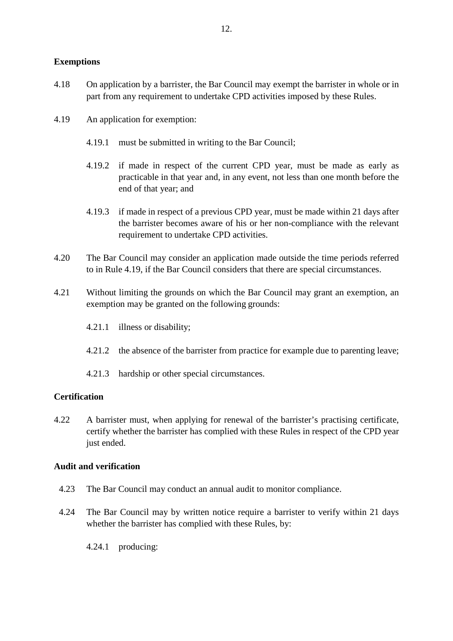# **Exemptions**

- 4.18 On application by a barrister, the Bar Council may exempt the barrister in whole or in part from any requirement to undertake CPD activities imposed by these Rules.
- 4.19 An application for exemption:
	- 4.19.1 must be submitted in writing to the Bar Council;
	- 4.19.2 if made in respect of the current CPD year, must be made as early as practicable in that year and, in any event, not less than one month before the end of that year; and
	- 4.19.3 if made in respect of a previous CPD year, must be made within 21 days after the barrister becomes aware of his or her non-compliance with the relevant requirement to undertake CPD activities.
- 4.20 The Bar Council may consider an application made outside the time periods referred to in Rule 4.19, if the Bar Council considers that there are special circumstances.
- 4.21 Without limiting the grounds on which the Bar Council may grant an exemption, an exemption may be granted on the following grounds:
	- 4.21.1 illness or disability;
	- 4.21.2 the absence of the barrister from practice for example due to parenting leave;
	- 4.21.3 hardship or other special circumstances.

# **Certification**

4.22 A barrister must, when applying for renewal of the barrister's practising certificate, certify whether the barrister has complied with these Rules in respect of the CPD year just ended.

### **Audit and verification**

- 4.23 The Bar Council may conduct an annual audit to monitor compliance.
- 4.24 The Bar Council may by written notice require a barrister to verify within 21 days whether the barrister has complied with these Rules, by:
	- 4.24.1 producing: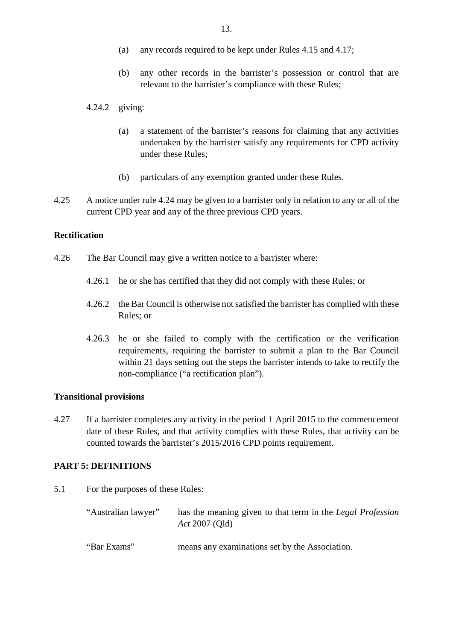- (a) any records required to be kept under Rules 4.15 and 4.17;
- (b) any other records in the barrister's possession or control that are relevant to the barrister's compliance with these Rules;

#### 4.24.2 giving:

- (a) a statement of the barrister's reasons for claiming that any activities undertaken by the barrister satisfy any requirements for CPD activity under these Rules;
- (b) particulars of any exemption granted under these Rules.
- 4.25 A notice under rule 4.24 may be given to a barrister only in relation to any or all of the current CPD year and any of the three previous CPD years.

#### **Rectification**

- 4.26 The Bar Council may give a written notice to a barrister where:
	- 4.26.1 he or she has certified that they did not comply with these Rules; or
	- 4.26.2 the Bar Council is otherwise not satisfied the barrister has complied with these Rules; or
	- 4.26.3 he or she failed to comply with the certification or the verification requirements, requiring the barrister to submit a plan to the Bar Council within 21 days setting out the steps the barrister intends to take to rectify the non-compliance ("a rectification plan").

#### **Transitional provisions**

4.27 If a barrister completes any activity in the period 1 April 2015 to the commencement date of these Rules, and that activity complies with these Rules, that activity can be counted towards the barrister's 2015/2016 CPD points requirement.

## **PART 5: DEFINITIONS**

5.1 For the purposes of these Rules:

| "Australian lawyer" | has the meaning given to that term in the Legal Profession<br>Act 2007 (Qld) |
|---------------------|------------------------------------------------------------------------------|
| "Bar Exams"         | means any examinations set by the Association.                               |